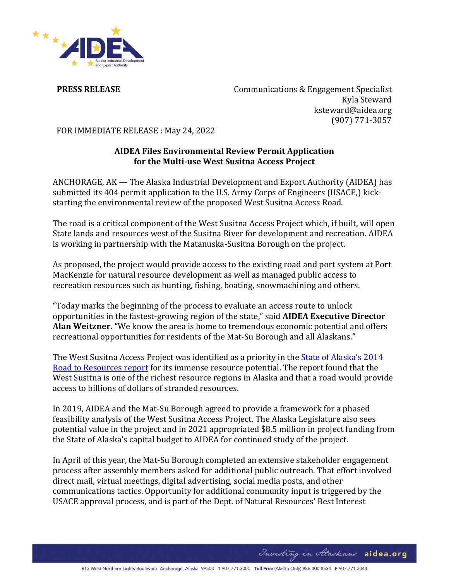

**PRESS RELEASE** Communications & Engagement Specialist Kyla Steward ksteward@aidea.org (907) 771-3057

FOR IMMEDIATE RELEASE : May 24, 2022

## **AIDEA Files Environmental Review Permit Application for the Multi-use West Susitna Access Project**

ANCHORAGE, AK — The Alaska Industrial Development and Export Authority (AIDEA) has submitted its 404 permit application to the U.S. Army Corps of Engineers (USACE,) kickstarting the environmental review of the proposed West Susitna Access Road.

The road is a critical component of the West Susitna Access Project which, if built, will open State lands and resources west of the Susitna River for development and recreation. AIDEA is working in partnership with the Matanuska-Susitna Borough on the project.

As proposed, the project would provide access to the existing road and port system at Port MacKenzie for natural resource development as well as managed public access to recreation resources such as hunting, fishing, boating, snowmachining and others.

"Today marks the beginning of the process to evaluate an access route to unlock opportunities in the fastest-growing region of the state," said **AIDEA Executive Director Alan Weitzner. "**We know the area is home to tremendous economic potential and offers recreational opportunities for residents of the Mat-Su Borough and all Alaskans."

The West Susitna Access Project was identified as a priority in the **State of Alaska's 2014** [Road to Resources report](https://dot.alaska.gov/roadstoresources/westsusitna/) for its immense resource potential. The report found that the West Susitna is one of the richest resource regions in Alaska and that a road would provide access to billions of dollars of stranded resources.

In 2019, AIDEA and the Mat-Su Borough agreed to provide a framework for a phased feasibility analysis of the West Susitna Access Project. The Alaska Legislature also sees potential value in the project and in 2021 appropriated \$8.5 million in project funding from the State of Alaska's capital budget to AIDEA for continued study of the project.

In April of this year, the Mat-Su Borough completed an extensive stakeholder engagement process after assembly members asked for additional public outreach. That effort involved direct mail, virtual meetings, digital advertising, social media posts, and other communications tactics. Opportunity for additional community input is triggered by the USACE approval process, and is part of the Dept. of Natural Resources' Best Interest

Investing in Alaskans aidea.org